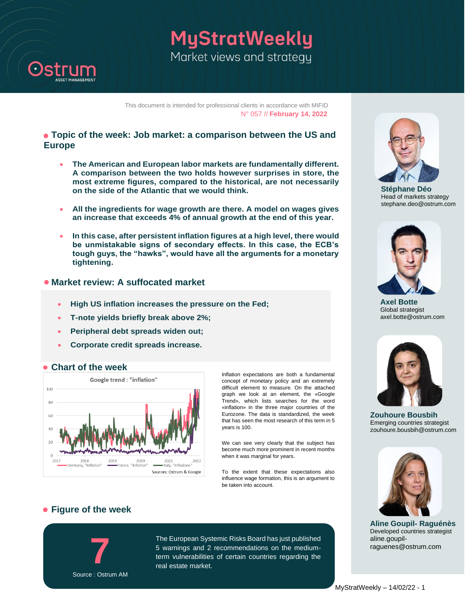

MyStratWeekly Market views and strategy

This document is intended for professional clients in accordance with MIFID N° 057 // **February 14, 2022**

### **Topic of the week: Job market: a comparison between the US and Europe**

- **The American and European labor markets are fundamentally different. A comparison between the two holds however surprises in store, the most extreme figures, compared to the historical, are not necessarily on the side of the Atlantic that we would think.**
- **All the ingredients for wage growth are there. A model on wages gives an increase that exceeds 4% of annual growth at the end of this year.**
- **In this case, after persistent inflation figures at a high level, there would be unmistakable signs of secondary effects. In this case, the ECB's tough guys, the "hawks", would have all the arguments for a monetary tightening.**

### **Market review: A suffocated market**

- **High US inflation increases the pressure on the Fed;**
- **T-note yields briefly break above 2%;**
- **Peripheral debt spreads widen out;**
- **Corporate credit spreads increase.**



 **Chart of the week** 

Inflation expectations are both a fundamental concept of monetary policy and an extremely difficult element to measure. On the attached graph we look at an element, the «Google Trend», which lists searches for the word «inflation» in the three major countries of the Eurozone. The data is standardized, the week that has seen the most research of this term in 5 years is 100.

We can see very clearly that the subject has become much more prominent in recent months when it was marginal for years.

To the extent that these expectations also influence wage formation, this is an argument to be taken into account.



**Stéphane Déo** Head of markets strategy stephane.deo@ostrum.com



**Axel Botte** Global strategist axel.botte@ostrum.com



**Zouhoure Bousbih** Emerging countries strategist zouhoure.bousbih@ostrum.com



**Aline Goupil- Raguénès** Developed countries strategist aline.goupilraguenes@ostrum.com

### **Figure of the week**



The European Systemic Risks Board has just published 5 warnings and 2 recommendations on the mediumterm vulnerabilities of certain countries regarding the real estate market.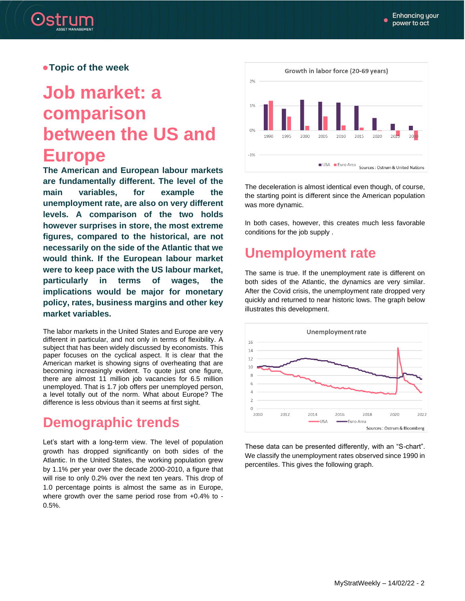

#### **Topic of the week**

# **Job market: a comparison between the US and Europe**

**The American and European labour markets are fundamentally different. The level of the main variables, for example the unemployment rate, are also on very different levels. A comparison of the two holds however surprises in store, the most extreme figures, compared to the historical, are not necessarily on the side of the Atlantic that we would think. If the European labour market were to keep pace with the US labour market, particularly in terms of wages, the implications would be major for monetary policy, rates, business margins and other key market variables.**

The labor markets in the United States and Europe are very different in particular, and not only in terms of flexibility. A subject that has been widely discussed by economists. This paper focuses on the cyclical aspect. It is clear that the American market is showing signs of overheating that are becoming increasingly evident. To quote just one figure, there are almost 11 million job vacancies for 6.5 million unemployed. That is 1.7 job offers per unemployed person, a level totally out of the norm. What about Europe? The difference is less obvious than it seems at first sight.

# **Demographic trends**

Let's start with a long-term view. The level of population growth has dropped significantly on both sides of the Atlantic. In the United States, the working population grew by 1.1% per year over the decade 2000-2010, a figure that will rise to only 0.2% over the next ten years. This drop of 1.0 percentage points is almost the same as in Europe, where growth over the same period rose from +0.4% to - 0.5%.



The deceleration is almost identical even though, of course, the starting point is different since the American population was more dynamic.

In both cases, however, this creates much less favorable conditions for the job supply .

# **Unemployment rate**

The same is true. If the unemployment rate is different on both sides of the Atlantic, the dynamics are very similar. After the Covid crisis, the unemployment rate dropped very quickly and returned to near historic lows. The graph below illustrates this development.



These data can be presented differently, with an "S-chart". We classify the unemployment rates observed since 1990 in percentiles. This gives the following graph.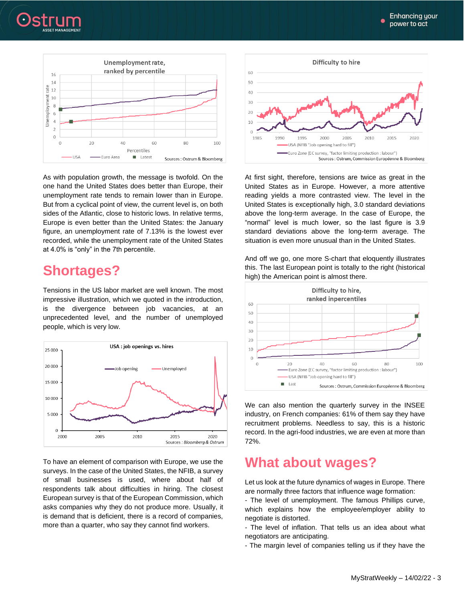



As with population growth, the message is twofold. On the one hand the United States does better than Europe, their unemployment rate tends to remain lower than in Europe. But from a cyclical point of view, the current level is, on both sides of the Atlantic, close to historic lows. In relative terms, Europe is even better than the United States: the January figure, an unemployment rate of 7.13% is the lowest ever recorded, while the unemployment rate of the United States at 4.0% is "only" in the 7th percentile.

# **Shortages?**

Tensions in the US labor market are well known. The most impressive illustration, which we quoted in the introduction, is the divergence between job vacancies, at an unprecedented level, and the number of unemployed people, which is very low.



To have an element of comparison with Europe, we use the surveys. In the case of the United States, the NFIB, a survey of small businesses is used, where about half of respondents talk about difficulties in hiring. The closest European survey is that of the European Commission, which asks companies why they do not produce more. Usually, it is demand that is deficient, there is a record of companies, more than a quarter, who say they cannot find workers.



At first sight, therefore, tensions are twice as great in the United States as in Europe. However, a more attentive reading yields a more contrasted view. The level in the United States is exceptionally high, 3.0 standard deviations above the long-term average. In the case of Europe, the "normal" level is much lower, so the last figure is 3.9 standard deviations above the long-term average. The situation is even more unusual than in the United States.

And off we go, one more S-chart that eloquently illustrates this. The last European point is totally to the right (historical high) the American point is almost there.



We can also mention the quarterly survey in the INSEE industry, on French companies: 61% of them say they have recruitment problems. Needless to say, this is a historic record. In the agri-food industries, we are even at more than 72%.

# **What about wages?**

Let us look at the future dynamics of wages in Europe. There are normally three factors that influence wage formation:

- The level of unemployment. The famous Phillips curve, which explains how the employee/employer ability to negotiate is distorted.

- The level of inflation. That tells us an idea about what negotiators are anticipating.

- The margin level of companies telling us if they have the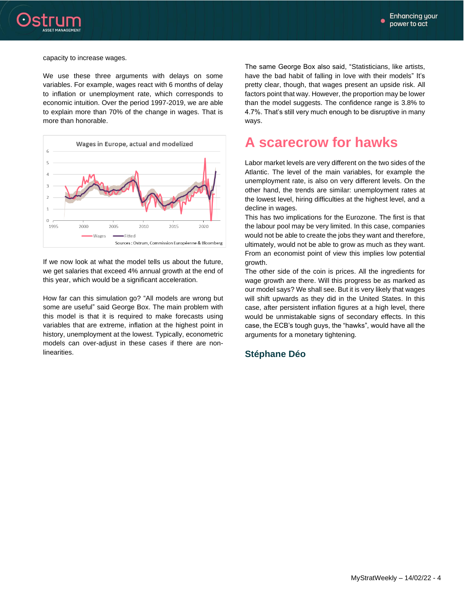

#### capacity to increase wages.

We use these three arguments with delays on some variables. For example, wages react with 6 months of delay to inflation or unemployment rate, which corresponds to economic intuition. Over the period 1997-2019, we are able to explain more than 70% of the change in wages. That is more than honorable.



If we now look at what the model tells us about the future, we get salaries that exceed 4% annual growth at the end of this year, which would be a significant acceleration.

How far can this simulation go? "All models are wrong but some are useful" said George Box. The main problem with this model is that it is required to make forecasts using variables that are extreme, inflation at the highest point in history, unemployment at the lowest. Typically, econometric models can over-adjust in these cases if there are nonlinearities.

The same George Box also said, "Statisticians, like artists, have the bad habit of falling in love with their models" It's pretty clear, though, that wages present an upside risk. All factors point that way. However, the proportion may be lower than the model suggests. The confidence range is 3.8% to 4.7%. That's still very much enough to be disruptive in many ways.

# **A scarecrow for hawks**

Labor market levels are very different on the two sides of the Atlantic. The level of the main variables, for example the unemployment rate, is also on very different levels. On the other hand, the trends are similar: unemployment rates at the lowest level, hiring difficulties at the highest level, and a decline in wages.

This has two implications for the Eurozone. The first is that the labour pool may be very limited. In this case, companies would not be able to create the jobs they want and therefore, ultimately, would not be able to grow as much as they want. From an economist point of view this implies low potential growth.

The other side of the coin is prices. All the ingredients for wage growth are there. Will this progress be as marked as our model says? We shall see. But it is very likely that wages will shift upwards as they did in the United States. In this case, after persistent inflation figures at a high level, there would be unmistakable signs of secondary effects. In this case, the ECB's tough guys, the "hawks", would have all the arguments for a monetary tightening.

#### **Stéphane Déo**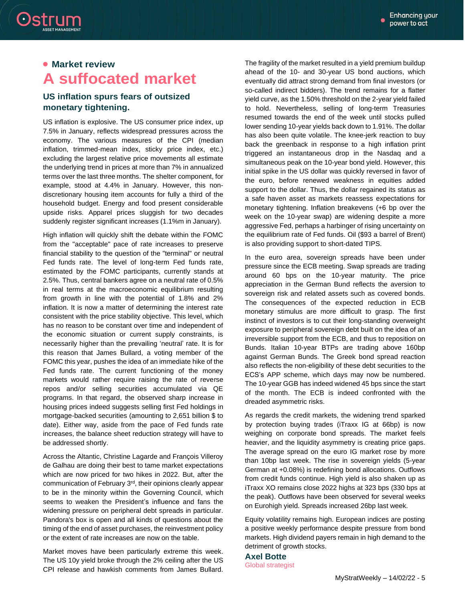## **Market review A suffocated market**

Ostrum

### **US inflation spurs fears of outsized monetary tightening.**

US inflation is explosive. The US consumer price index, up 7.5% in January, reflects widespread pressures across the economy. The various measures of the CPI (median inflation, trimmed-mean index, sticky price index, etc.) excluding the largest relative price movements all estimate the underlying trend in prices at more than 7% in annualized terms over the last three months. The shelter component, for example, stood at 4.4% in January. However, this nondiscretionary housing item accounts for fully a third of the household budget. Energy and food present considerable upside risks. Apparel prices sluggish for two decades suddenly register significant increases (1.1%m in January).

High inflation will quickly shift the debate within the FOMC from the "acceptable" pace of rate increases to preserve financial stability to the question of the "terminal" or neutral Fed funds rate. The level of long-term Fed funds rate, estimated by the FOMC participants, currently stands at 2.5%. Thus, central bankers agree on a neutral rate of 0.5% in real terms at the macroeconomic equilibrium resulting from growth in line with the potential of 1.8% and 2% inflation. It is now a matter of determining the interest rate consistent with the price stability objective. This level, which has no reason to be constant over time and independent of the economic situation or current supply constraints, is necessarily higher than the prevailing 'neutral' rate. It is for this reason that James Bullard, a voting member of the FOMC this year, pushes the idea of an immediate hike of the Fed funds rate. The current functioning of the money markets would rather require raising the rate of reverse repos and/or selling securities accumulated via QE programs. In that regard, the observed sharp increase in housing prices indeed suggests selling first Fed holdings in mortgage-backed securities (amounting to 2,651 billion \$ to date). Either way, aside from the pace of Fed funds rate increases, the balance sheet reduction strategy will have to be addressed shortly.

Across the Altantic, Christine Lagarde and François Villeroy de Galhau are doing their best to tame market expectations which are now priced for two hikes in 2022. But, after the communication of February 3rd, their opinions clearly appear to be in the minority within the Governing Council, which seems to weaken the President's influence and fans the widening pressure on peripheral debt spreads in particular. Pandora's box is open and all kinds of questions about the timing of the end of asset purchases, the reinvestment policy or the extent of rate increases are now on the table.

Market moves have been particularly extreme this week. The US 10y yield broke through the 2% ceiling after the US CPI release and hawkish comments from James Bullard. The fragility of the market resulted in a yield premium buildup ahead of the 10- and 30-year US bond auctions, which eventually did attract strong demand from final investors (or so-called indirect bidders). The trend remains for a flatter yield curve, as the 1.50% threshold on the 2-year yield failed to hold. Nevertheless, selling of long-term Treasuries resumed towards the end of the week until stocks pulled lower sending 10-year yields back down to 1.91%. The dollar has also been quite volatile. The knee-jerk reaction to buy back the greenback in response to a high inflation print triggered an instantaneous drop in the Nasdaq and a simultaneous peak on the 10-year bond yield. However, this initial spike in the US dollar was quickly reversed in favor of the euro, before renewed weakness in equities added support to the dollar. Thus, the dollar regained its status as a safe haven asset as markets reassess expectations for monetary tightening. Inflation breakevens (+6 bp over the week on the 10-year swap) are widening despite a more aggressive Fed, perhaps a harbinger of rising uncertainty on the equilibrium rate of Fed funds. Oil (\$93 a barrel of Brent) is also providing support to short-dated TIPS.

In the euro area, sovereign spreads have been under pressure since the ECB meeting. Swap spreads are trading around 60 bps on the 10-year maturity. The price appreciation in the German Bund reflects the aversion to sovereign risk and related assets such as covered bonds. The consequences of the expected reduction in ECB monetary stimulus are more difficult to grasp. The first instinct of investors is to cut their long-standing overweight exposure to peripheral sovereign debt built on the idea of an irreversible support from the ECB, and thus to reposition on Bunds. Italian 10-year BTPs are trading above 160bp against German Bunds. The Greek bond spread reaction also reflects the non-eligibility of these debt securities to the ECS's APP scheme, which days may now be numbered. The 10-year GGB has indeed widened 45 bps since the start of the month. The ECB is indeed confronted with the dreaded asymmetric risks.

As regards the credit markets, the widening trend sparked by protection buying trades (iTraxx IG at 66bp) is now weighing on corporate bond spreads. The market feels heavier, and the liquidity asymmetry is creating price gaps. The average spread on the euro IG market rose by more than 10bp last week. The rise in sovereign yields (5-year German at +0.08%) is redefining bond allocations. Outflows from credit funds continue. High yield is also shaken up as iTraxx XO remains close 2022 highs at 323 bps (330 bps at the peak). Outflows have been observed for several weeks on Eurohigh yield. Spreads increased 26bp last week.

Equity volatility remains high. European indices are posting a positive weekly performance despite pressure from bond markets. High dividend payers remain in high demand to the detriment of growth stocks.

**Axel Botte** Global strategist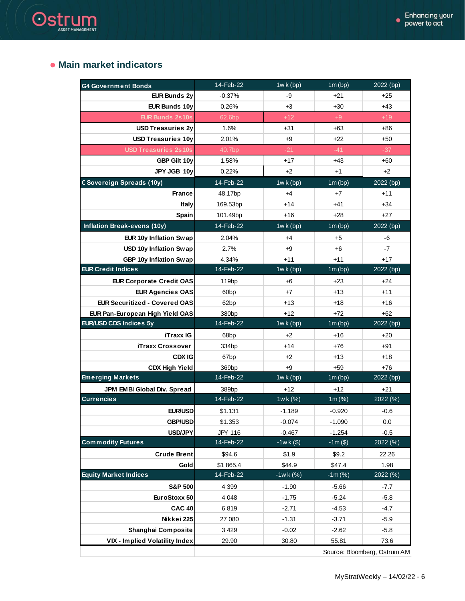### **Main market indicators**

Ostrum

| <b>G4 Government Bonds</b>           | 14-Feb-22         | $1wk$ (bp)         | 1m(bp)             | 2022 (bp)        |
|--------------------------------------|-------------------|--------------------|--------------------|------------------|
| <b>EUR Bunds 2y</b>                  | $-0.37%$          | -9                 | $+21$              | $+25$            |
| <b>EUR Bunds 10y</b>                 | 0.26%             | $+3$               | $+30$              | $+43$            |
| <b>EUR Bunds 2s10s</b>               | 62.6bp            | $+12$              | $+9$               | $+19$            |
| <b>USD Treasuries 2y</b>             | 1.6%              | $+31$              | $+63$              | $+86$            |
| <b>USD Treasuries 10y</b>            | 2.01%             | $+9$               | $+22$              | $+50$            |
| <b>USD Treasuries 2s10s</b>          | 40.7bp            | $-21$              | $-41$              | $-37$            |
| GBP Gilt 10y                         | 1.58%             | $+17$              | $+43$              | $+60$            |
| JPY JGB 10y                          | 0.22%             | $+2$               | $+1$               | $+2$             |
| € Sovereign Spreads (10y)            | 14-Feb-22         | 1wk(bp)            | 1m(bp)             | 2022 (bp)        |
| <b>France</b>                        | 48.17bp           | $+4$               | $+7$               | $+11$            |
| Italy                                | 169.53bp          | $+14$              | $+41$              | $+34$            |
| Spain                                | 101.49bp          | $+16$              | $+28$              | $+27$            |
| Inflation Break-evens (10y)          | 14-Feb-22         | 1wk(bp)            | 1m(bp)             | 2022 (bp)        |
| EUR 10y Inflation Swap               | 2.04%             | $+4$               | $+5$               | -6               |
| USD 10y Inflation Swap               | 2.7%              | $+9$               | $+6$               | $-7$             |
| GBP 10y Inflation Swap               | 4.34%             | $+11$              | $+11$              | $+17$            |
| <b>EUR Credit Indices</b>            | 14-Feb-22         | $1wk$ (bp)         | 1m(bp)             | 2022 (bp)        |
| <b>EUR Corporate Credit OAS</b>      | 119 <sub>bp</sub> | +6                 | $+23$              | $+24$            |
| <b>EUR Agencies OAS</b>              | 60 <sub>bp</sub>  | $+7$               | $+13$              | $+11$            |
| <b>EUR Securitized - Covered OAS</b> | 62bp              | $+13$              | $+18$              | $+16$            |
| EUR Pan-European High Yield OAS      | 380 <sub>bp</sub> | $+12$              | $+72$              | $+62$            |
| EUR/USD CDS Indices 5y               | 14-Feb-22         | 1wk(bp)            | 1m(bp)             | 2022 (bp)        |
| <b>iTraxx IG</b>                     | 68 <sub>bp</sub>  | $+2$               | $+16$              | $+20$            |
| <b>iTraxx Crossover</b>              | 334bp             | $+14$              | $+76$              | $+91$            |
| <b>CDX IG</b>                        | 67 <sub>bp</sub>  | $+2$               | $+13$              | $+18$            |
| <b>CDX High Yield</b>                | 369bp             | $+9$               | $+59$              | $+76$            |
| <b>Emerging Markets</b>              | 14-Feb-22         | $1wk$ (bp)         | 1m(bp)             | 2022 (bp)        |
| JPM EMBI Global Div. Spread          | 389bp             | +12                | $+12$              | $+21$            |
| <b>Currencies</b>                    | 14-Feb-22         | <u>1wk(%)</u>      | 1m (%)             | 2022 (%)         |
| <b>EUR/USD</b>                       | \$1.131           | $-1.189$           | $-0.920$           | -0.6             |
| <b>GBP/USD</b>                       | \$1.353           | $-0.074$           | $-1.090$           | 0.0              |
| <b>USD/JPY</b>                       | JPY 116           | $-0.467$           | $-1.254$           | $-0.5$           |
| <b>Commodity Futures</b>             | 14-Feb-22         | $-1wk($ \$)        | $-1m($)$           | 2022 (%)         |
| <b>Crude Brent</b>                   | \$94.6            | \$1.9              | \$9.2              | 22.26            |
| Gold                                 | \$1865.4          | \$44.9             | \$47.4             | 1.98             |
| <b>Equity Market Indices</b>         | 14-Feb-22         | $-1wk(%)$          | $-1m$ (%)          | 2022 (%)         |
| <b>S&amp;P 500</b>                   | 4 3 9 9           | $-1.90$            | $-5.66$            | $-7.7$           |
| EuroStoxx 50                         | 4 0 4 8           | $-1.75$            | $-5.24$            | $-5.8$           |
|                                      | 6819              | $-2.71$            | $-4.53$            | $-4.7$           |
|                                      |                   |                    |                    |                  |
| <b>CAC 40</b>                        |                   |                    |                    |                  |
| Nikkei 225<br>Shanghai Composite     | 27 080<br>3 4 2 9 | $-1.31$<br>$-0.02$ | $-3.71$<br>$-2.62$ | $-5.9$<br>$-5.8$ |

Source: Bloomberg, Ostrum AM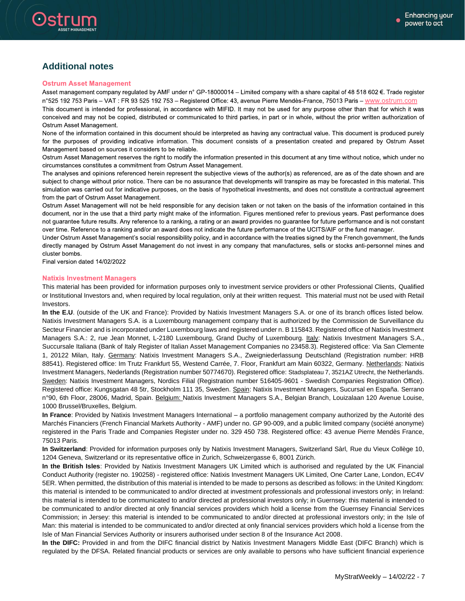

### **Additional notes**

#### **Ostrum Asset Management**

Asset management company regulated by AMF under n° GP-18000014 - Limited company with a share capital of 48 518 602 €. Trade register n°525 192 753 Paris - VAT : FR 93 525 192 753 - Registered Office: 43, avenue Pierre Mendès-France, 75013 Paris - www.ostrum.com This document is intended for professional, in accordance with MIFID. It may not be used for any purpose other than that for which it was conceived and may not be copied, distributed or communicated to third parties, in part or in whole, without the prior written authorization of Ostrum Asset Management.

None of the information contained in this document should be interpreted as having any contractual value. This document is produced purely for the purposes of providing indicative information. This document consists of a presentation created and prepared by Ostrum Asset Management based on sources it considers to be reliable.

Ostrum Asset Management reserves the right to modify the information presented in this document at any time without notice, which under no circumstances constitutes a commitment from Ostrum Asset Management.

The analyses and opinions referenced herein represent the subjective views of the author(s) as referenced, are as of the date shown and are subject to change without prior notice. There can be no assurance that developments will transpire as may be forecasted in this material. This simulation was carried out for indicative purposes, on the basis of hypothetical investments, and does not constitute a contractual agreement from the part of Ostrum Asset Management.

Ostrum Asset Management will not be held responsible for any decision taken or not taken on the basis of the information contained in this document, nor in the use that a third party might make of the information. Figures mentioned refer to previous years. Past performance does not guarantee future results. Any reference to a ranking, a rating or an award provides no guarantee for future performance and is not constant over time. Reference to a ranking and/or an award does not indicate the future performance of the UCITS/AIF or the fund manager.

Under Ostrum Asset Management's social responsibility policy, and in accordance with the treaties signed by the French government, the funds directly managed by Ostrum Asset Management do not invest in any company that manufactures, sells or stocks anti-personnel mines and cluster bombs.

Final version dated 14/02/2022

#### **Natixis Investment Managers**

This material has been provided for information purposes only to investment service providers or other Professional Clients, Qualified or Institutional Investors and, when required by local regulation, only at their written request. This material must not be used with Retail Investors.

**In the E.U**. (outside of the UK and France): Provided by Natixis Investment Managers S.A. or one of its branch offices listed below. Natixis Investment Managers S.A. is a Luxembourg management company that is authorized by the Commission de Surveillance du Secteur Financier and is incorporated under Luxembourg laws and registered under n. B 115843. Registered office of Natixis Investment Managers S.A.: 2, rue Jean Monnet, L-2180 Luxembourg, Grand Duchy of Luxembourg. Italy: Natixis Investment Managers S.A., Succursale Italiana (Bank of Italy Register of Italian Asset Management Companies no 23458.3). Registered office: Via San Clemente 1, 20122 Milan, Italy. Germany: Natixis Investment Managers S.A., Zweigniederlassung Deutschland (Registration number: HRB 88541). Registered office: Im Trutz Frankfurt 55, Westend Carrée, 7. Floor, Frankfurt am Main 60322, Germany. Netherlands: Natixis Investment Managers, Nederlands (Registration number 50774670). Registered office: Stadsplateau 7, 3521AZ Utrecht, the Netherlands. Sweden: Natixis Investment Managers, Nordics Filial (Registration number 516405-9601 - Swedish Companies Registration Office). Registered office: Kungsgatan 48 5tr, Stockholm 111 35, Sweden. Spain: Natixis Investment Managers, Sucursal en España. Serrano n°90, 6th Floor, 28006, Madrid, Spain. Belgium: Natixis Investment Managers S.A., Belgian Branch, Louizalaan 120 Avenue Louise, 1000 Brussel/Bruxelles, Belgium.

**In France**: Provided by Natixis Investment Managers International – a portfolio management company authorized by the Autorité des Marchés Financiers (French Financial Markets Authority - AMF) under no. GP 90-009, and a public limited company (société anonyme) registered in the Paris Trade and Companies Register under no. 329 450 738. Registered office: 43 avenue Pierre Mendès France, 75013 Paris.

**In Switzerland**: Provided for information purposes only by Natixis Investment Managers, Switzerland Sàrl, Rue du Vieux Collège 10, 1204 Geneva, Switzerland or its representative office in Zurich, Schweizergasse 6, 8001 Zürich.

**In the British Isles**: Provided by Natixis Investment Managers UK Limited which is authorised and regulated by the UK Financial Conduct Authority (register no. 190258) - registered office: Natixis Investment Managers UK Limited, One Carter Lane, London, EC4V 5ER. When permitted, the distribution of this material is intended to be made to persons as described as follows: in the United Kingdom: this material is intended to be communicated to and/or directed at investment professionals and professional investors only; in Ireland: this material is intended to be communicated to and/or directed at professional investors only; in Guernsey: this material is intended to be communicated to and/or directed at only financial services providers which hold a license from the Guernsey Financial Services Commission; in Jersey: this material is intended to be communicated to and/or directed at professional investors only; in the Isle of Man: this material is intended to be communicated to and/or directed at only financial services providers which hold a license from the Isle of Man Financial Services Authority or insurers authorised under section 8 of the Insurance Act 2008.

**In the DIFC:** Provided in and from the DIFC financial district by Natixis Investment Managers Middle East (DIFC Branch) which is regulated by the DFSA. Related financial products or services are only available to persons who have sufficient financial experience